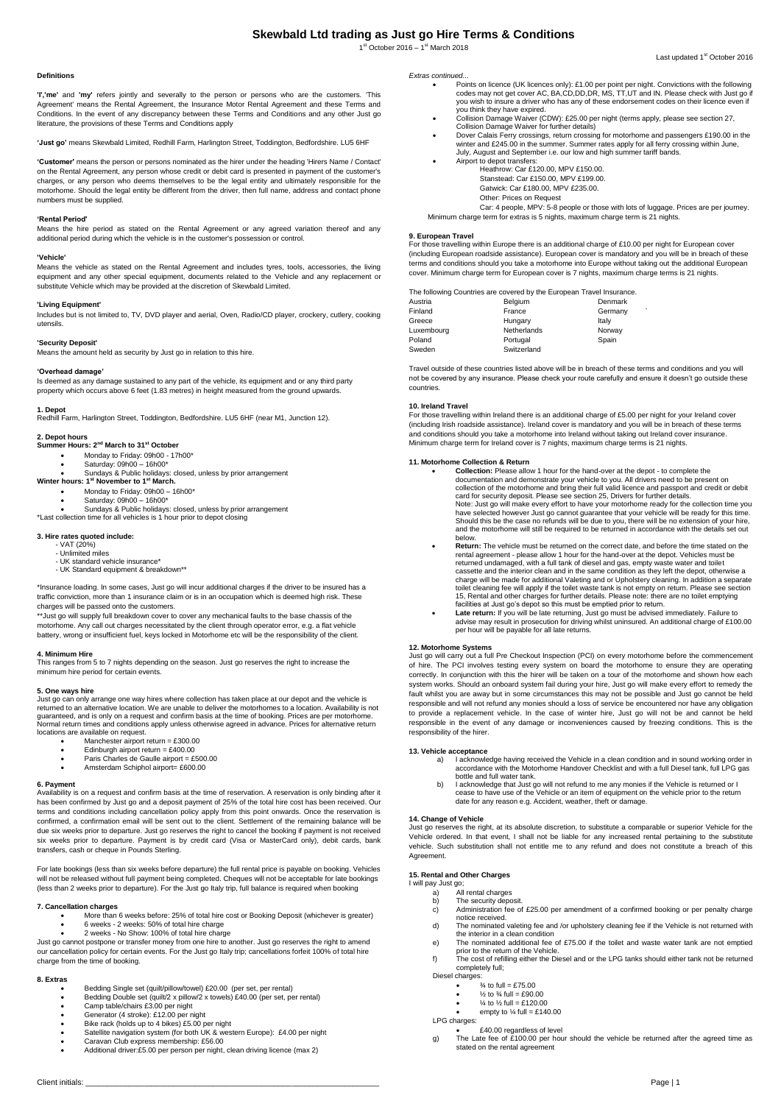# **Skewbald Ltd trading as Just go Hire Terms & Conditions**

1<sup>st</sup> October 2016 - 1<sup>st</sup> March 2018

### **Definitions**

**'I','me'** and **'my'** refers jointly and severally to the person or persons who are the customers. 'This Agreement' means the Rental Agreement, the Insurance Motor Rental Agreement and these Terms and Conditions. In the event of any discrepancy between these Terms and Conditions and any other Just go literature, the provisions of these Terms and Conditions apply

**'Just go'** means Skewbald Limited, Redhill Farm, Harlington Street, Toddington, Bedfordshire. LU5 6HF

**'Customer'** means the person or persons nominated as the hirer under the heading 'Hirers Name / Contact' on the Rental Agreement, any person whose credit or debit card is presented in payment of the customer's charges, or any person who deems themselves to be the legal entity and ultimately responsible for the motorhome. Should the legal entity be different from the driver, then full name, address and contact phone numbers must be supplied.

# **'Rental Period'**

Means the hire period as stated on the Rental Agreement or any agreed variation thereof and any additional period during which the vehicle is in the customer's possession or control.

#### **'Vehicle'**

Means the vehicle as stated on the Rental Agreement and includes tyres, tools, accessories, the living equipment and any other special equipment, documents related to the Vehicle and any replacement or substitute Vehicle which may be provided at the discretion of Skewbald Limited.

# **'Living Equipment'**

Includes but is not limited to, TV, DVD player and aerial, Oven, Radio/CD player, crockery, cutlery, cooking utensils.

### **'Security Deposit'**

Means the amount held as security by Just go in relation to this hire.

# **'Overhead damage'**

Is deemed as any damage sustained to any part of the vehicle, its equipment and or any third party property which occurs above 6 feet (1.83 metres) in height measured from the ground upwards.

# **1. Depot**<br>Redhill Farm, Harlington Street, Toddington, Bedfordshire. LU5 6HF (near M1, Junction 12).

# **2. Depot hours**

- **Summer Hours: 2nd March to 31st October**
	- Monday to Friday: 09h00 17h00\* Saturday: 09h00 16h00\*
- Sundays & Public holidays: closed, unless by prior arrangement **Winter hours: 1st November to 1st March.**
	-
	- Monday to Friday: 09h00 16h00\* Saturday: 09h00 16h00\*
	- Sundays & Public holidays: closed, unless by prior arrangement
- \*Last collection time for all vehicles is 1 hour prior to depot closing

# **3. Hire rates quoted include:**

- VAT (20%) Unlimited miles
- UK standard vehicle insurance\*
- UK Standard equipment & breakdown\*\*
- \*Insurance loading. In some cases, Just go will incur additional charges if the driver to be insured has a traffic conviction, more than 1 insurance claim or is in an occupation which is deemed high risk. These charges will be passed onto the customers.
- \*\*Just go will supply full breakdown cover to cover any mechanical faults to the base chassis of the motorhome. Any call out charges necessitated by the client through operator error, e.g. a flat vehicle battery, wrong or insufficient fuel, keys locked in Motorhome etc will be the responsibility of the client.

### **4. Minimum Hire**

This ranges from 5 to 7 nights depending on the season. Just go reserves the right to increase the minimum hire period for certain events.

**5. One ways hire**<br>Just go can only arrange one way hires where collection has taken place at our depot and the vehicle is<br>returned to an alternative location. We are unable to deliver the motorhomes to a location. Availab guaranteed, and is only on a request and confirm basis at the time of booking. Prices are per motorhome. Normal return times and conditions apply unless otherwise agreed in advance. Prices for alternative return locations are available on request.

- Manchester airport return =  $£300.00$
- Edinburgh airport return = £400.00 Paris Charles de Gaulle airport = £500.00
- Amsterdam Schiphol airport= £600.00

# **6. Payment**

Availability is on a request and confirm basis at the time of reservation. A reservation is only binding after it has been confirmed by Just go and a deposit payment of 25% of the total hire cost has been received. Our terms and conditions including cancellation policy apply from this point onwards. Once the reservation is confirmed, a confirmation email will be sent out to the client. Settlement of the remaining balance will be due six weeks prior to departure. Just go reserves the right to cancel the booking if payment is not received six weeks prior to departure. Payment is by credit card (Visa or MasterCard only), debit cards, bank transfers, cash or cheque in Pounds Sterling.

For late bookings (less than six weeks before departure) the full rental price is payable on booking. Vehicles will not be released without full payment being completed. Cheques will not be acceptable for late bookings (less than 2 weeks prior to departure). For the Just go Italy trip, full balance is required when booking

#### **7. Cancellation charges**

- More than 6 weeks before: 25% of total hire cost or Booking Deposit (whichever is greater) 6 weeks - 2 weeks: 50% of total hire charge
	- 2 weeks No Show: 100% of total hire charge

Just go cannot postpone or transfer money from one hire to another. Just go reserves the right to amend our cancellation policy for certain events. For the Just go Italy trip; cancellations forfeit 100% of total hire charge from the time of booking.

#### **8. Extras**

- Bedding Single set (quilt/pillow/towel) £20.00 (per set, per rental) Bedding Double set (quilt/2 x pillow/2 x towels) £40.00 (per set, per rental)
- Camp table/chairs £3.00 per night
- 
- Generator (4 stroke): £12.00 per night Bike rack (holds up to 4 bikes) £5.00 per night
- Satellite navigation system (for both UK & western Europe): £4.00 per night Caravan Club express membership: £56.00
- 
- Additional driver:£5.00 per person per night, clean driving licence (max 2)

*Extras continued...*

- Points on licence (UK licences only): £1.00 per point per night. Convictions with the following codes may not get cover AC, BA,CD,DD,DR, MS, TT,UT and IN. Please check with Just go if you wish to insure a driver who has any of these endorsement codes on their licence even if you think they have expired. Collision Damage Waiver (CDW): £25.00 per night (terms apply, please see section 27,
	-
- Collision Damage Waiver for further details)<br>• Dover Calais Ferry crossings, return crossing for motorhome and passengers £190.00 in the<br>• winter and £245.00 in the summer. Summer rates apply for all ferry crossing within July, August and September i.e. our low and high summer tariff bands.
	- ort to depot transfers: Heathrow: Car £120.00, MPV £150.00. Stanstead: Car £150.00, MPV £199.00. Gatwick: Car £180.00, MPV £235.00.
		- Other: Prices on Request

Car: 4 people, MPV: 5-8 people or those with lots of luggage. Prices are per journey. Minimum charge term for extras is 5 nights, maximum charge term is 21 nights.

#### **9. European Travel**

For those travelling within Europe there is an additional charge of £10.00 per night for European cover (including European roadside assistance). European cover is mandatory and you will be in breach of these terms and conditions should you take a motorhome into Europe without taking out the additional European cover. Minimum charge term for European cover is 7 nights, maximum charge terms is 21 nights.

|            | The following Countries are covered by the European Travel Insurance. |         |
|------------|-----------------------------------------------------------------------|---------|
| Austria    | Belgium                                                               | Denmark |
| Finland    | France                                                                | Germany |
| Greece     | Hungary                                                               | Italy   |
| Luxembourg | Netherlands                                                           | Norway  |
| Poland     | Portugal                                                              | Spain   |
| Sweden     | Switzerland                                                           |         |

Travel outside of these countries listed above will be in breach of these terms and conditions and you will not be covered by any insurance. Please check your route carefully and ensure it doesn't go outside these countries.

### **10. Ireland Travel**

For those travelling within Ireland there is an additional charge of £5.00 per night for your Ireland cover (including Irish roadside assistance). Ireland cover is mandatory and you will be in breach of these terms and conditions should you take a motorhome into Ireland without taking out Ireland cover insurance. Minimum charge term for Ireland cover is 7 nights, maximum charge terms is 21 nights.

#### **11. Motorhome Collection & Return**

- **Collection:** Please allow 1 hour for the hand-over at the depot to complete the documentation and demonstrate your vehicle to you. All drivers need to be present on collection of the motorhome and bring their full valid licence and passport and credit or debit<br>card for security deposit. Please see section 25, Drivers for further details.<br>Note: Just go will make every effort to have yo Should this be the case no refunds will be due to you, there will be no extension of your hire, and the motorhome will still be required to be returned in accordance with the details set out
- below. **Return:** The vehicle must be returned on the correct date, and before the time stated on the rental agreement - please allow 1 hour for the hand-over at the depot. Vehicles must be returned undamaged, with a full tank of diesel and gas, empty waste water and toilet cassette and the interior clean and in the same condition as they left the depot, otherwise a charge will be made for additional Valeting and or Upholstery cleaning. In addition a separate<br>toilet cleaning fee will apply if the toilet waste tank is not empty on return. Please see section<br>15, Rental and other charges
- facilities at Just go's depot so this must be emptied prior to return.<br> **Late return:** If you will be late returning, Just go must be advised immediately. Failure to<br>
advise may result in prosecution for driving whilst uni

#### **12. Motorhome Systems**

Just go will carry out a full Pre Checkout Inspection (PCI) on every motorhome before the commencement of hire. The PCI involves testing every system on board the motorhome to ensure they are operating correctly. In conjunction with this the hirer will be taken on a tour of the motorhome and shown how each system works. Should an onboard system fail during your hire, Just go will make every effort to remedy the fault whilst you are away but in some circumstances this may not be possible and Just go cannot be held responsible and will not refund any monies should a loss of service be encountered nor have any obligation to provide a replacement vehicle. In the case of winter hire, Just go will not be and cannot be held responsible in the event of any damage or inconveniences caused by freezing conditions. This is the responsibility of the hirer.

### **13. Vehicle acceptance**

- a) I acknowledge having received the Vehicle in a clean condition and in sound working order in accordance with the Motorhome Handover Checklist and with a full Diesel tank, full LPG gas bottle and full water tank.
- b) I acknowledge that Just go will not refund to me any monies if the Vehicle is returned or I cease to have use of the Vehicle or an item of equipment on the vehicle prior to the return date for any reason e.g. Accident, weather, theft or damage.

**14. Change of Vehicle** Just go reserves the right, at its absolute discretion, to substitute a comparable or superior Vehicle for the Vehicle ordered. In that event, I shall not be liable for any increased rental pertaining to the substitute vehicle. Such substitution shall not entitle me to any refund and does not constitute a breach of this Agreement

## **15. Rental and Other Charges**

- I will pay Just go;
	- a) All rental charges b) The security deposit.
	-
	- c) Administration fee of £25.00 per amendment of a confirmed booking or per penalty charge notice received.
	- d) The nominated valeting fee and /or upholstery cleaning fee if the Vehicle is not returned with the interior in a clean condition e) The nominated additional fee of £75.00 if the toilet and waste water tank are not emptied
	- prior to the return of the Vehicle. f) The cost of refilling either the Diesel and or the LPG tanks should either tank not be returned completely full;
	- Diesel charges:
		- $\frac{3}{4}$  to full = £75.00
		- % to  $\frac{3}{4}$  full = £90.00
		- $\frac{1}{6}$  to  $\frac{1}{6}$  full = £120.00
		- empty to  $\frac{1}{4}$  full = £140.00

LPG charges:

 £40.00 regardless of level g) The Late fee of £100.00 per hour should the vehicle be returned after the agreed time as stated on the rental agreement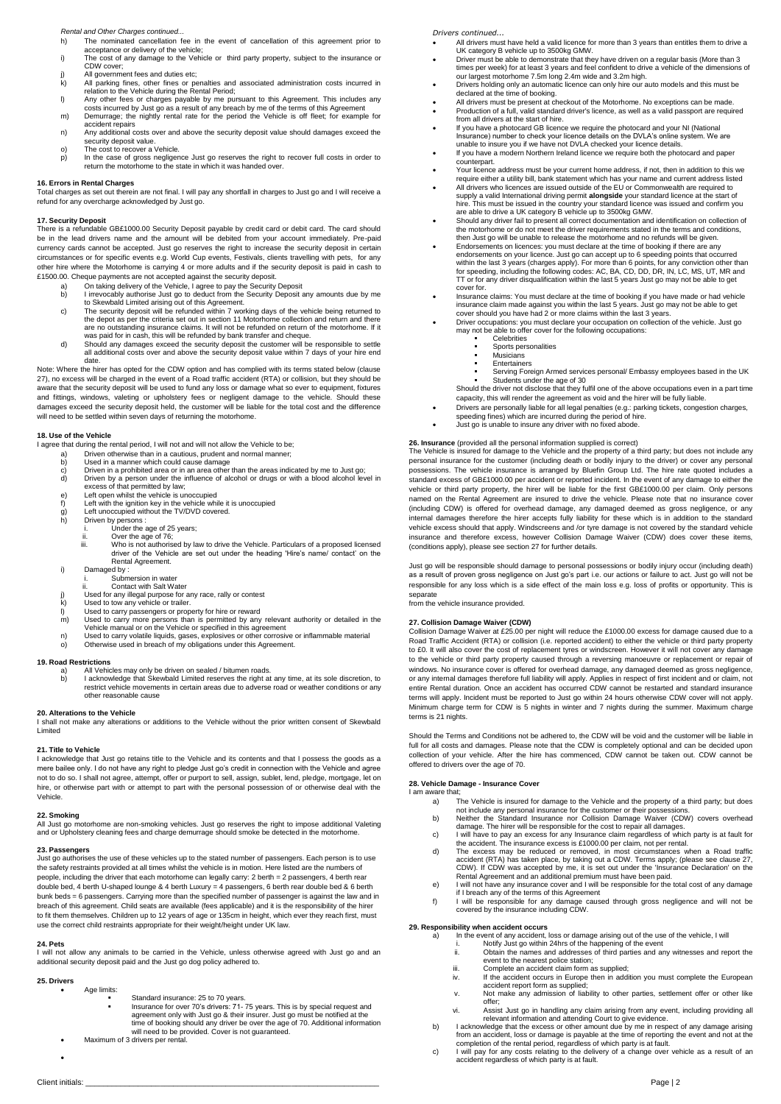#### *Rental and Other Charges continued...*

- h) The nominated cancellation fee in the event of cancellation of this agreement prior to acceptance or delivery of the vehicle;
- i) The cost of any damage to the Vehicle or third party property, subject to the insurance or CDW cover;
- j) All government fees and duties etc;<br>k) All parking fines, other fines or pe
- 
- k) All parking fines, other fines or penalties and associated administration costs incurred in<br>relation to the Vehicle during the Rental Period;<br>i) Any other fees or charges payable by me pursuant to this Agreement. This i
- m) Demurrage; the nightly rental rate for the period the Vehicle is off fleet; for example for accident repairs n) Any additional costs over and above the security deposit value should damages exceed the
- security deposit value. o) The cost to recover a Vehicle.
- p) In the case of gross negligence Just go reserves the right to recover full costs in order to return the motorhome to the state in which it was handed over.

**16. Errors in Rental Charges** Total charges as set out therein are not final. I will pay any shortfall in charges to Just go and I will receive a refund for any overcharge acknowledged by Just go.

**17. Security Deposit** There is a refundable GB£1000.00 Security Deposit payable by credit card or debit card. The card should be in the lead drivers name and the amount will be debited from your account immediately. Pre-paid currency cards cannot be accepted. Just go reserves the right to increase the security deposit in certain circumstances or for specific events e.g. World Cup events, Festivals, clients travelling with pets, for any other hire where the Motorhome is carrying 4 or more adults and if the security deposit is paid in cash to £1500.00. Cheque payments are not accepted against the security deposit.

- 
- a) On taking delivery of the Vehicle, I agree to pay the Security Deposit b) I irrevocably authorise Just go to deduct from the Security Deposit any amounts due by me
- to Skewbald Limited arising out of this Agreement. c) The security deposit will be refunded within 7 working days of the vehicle being returned to the depot as per the criteria set out in section 11 Motorhome collection and return and there<br>are no outstanding insurance claims. It will not be refunded on return of the motorhome. If it<br>was paid for in cash, this will b
- d) Should any damages exceed the security deposit the customer will be responsible to settle all additional costs over and above the security deposit value within 7 days of your hire end

date. Note: Where the hirer has opted for the CDW option and has complied with its terms stated below (clause 27), no excess will be charged in the event of a Road traffic accident (RTA) or collision, but they should be aware that the security deposit will be used to fund any loss or damage what so ever to equipment, fixtures and fittings, windows, valeting or upholstery fees or negligent damage to the vehicle. Should these damages exceed the security deposit held, the customer will be liable for the total cost and the difference will need to be settled within seven days of returning the motorhome.

#### **18. Use of the Vehicle**

I agree that during the rental period, I will not and will not allow the Vehicle to be;

- 
- 
- and a Driven otherwise than in a cautious, prudent and normal manner;<br>b) Used in a manner which could cause damage<br>c) Driven in a prohibited area or in an area other than the areas indic)<br>d) Driven by a person under the in b) Used in a manner which could cause damage<br>c) Driven in a prohibited area or in an area other than the areas indicated by me to Just go;<br>d) Driven by a person under the influence of alcohol or drugs or with a blood alcoh
- excess of that permitted by law; e) Left open whilst the vehicle is unoccupied
- f) Left with the ignition key in the vehicle while it is unoccupied g) Left unoccupied without the TV/DVD covered.
- 
- h) Driven by persons : i. Under the age of 25 years;
	-
	- ii. Over the age of 76; iii. Who is not authorised by law to drive the Vehicle. Particulars of a proposed licensed driver of the Vehicle are set out under the heading 'Hire's name/ contact' on the Rental Agreement.
- i) Damaged by :
	- i. Submersion in water ii. Contact with Salt Water
	-
- 
- j) Used for any illegal purpose for any race, rally or contest k) Used to tow any vehicle or trailer. l) Used to carry passengers or property for hire or reward
- m) Used to carry more persons than is permitted by any relevant authority or detailed in the Vehicle manual or on the Vehicle or specified in this agreement<br>n) Used to carry volatile liquids, gases, explosives or other cor
- 
- 

#### **19. Road Restrictions**

a)<br>a) All Vehicles may only be driven on sealed / bitumen roads.<br>b) acknowledge that Skewbald Limited reserves the right at b) I acknowledge that Skewbald Limited reserves the right at any time, at its sole discretion, to restrict vehicle movements in certain areas due to adverse road or weather conditions or any other reasonable cause

# **20. Alterations to the Vehicle**

I shall not make any alterations or additions to the Vehicle without the prior written consent of Skewbald Limited

**21. Title to Vehicle** I acknowledge that Just go retains title to the Vehicle and its contents and that I possess the goods as a mere bailee only. I do not have any right to pledge Just go's credit in connection with the Vehicle and agree not to do so. I shall not agree, attempt, offer or purport to sell, assign, sublet, lend, pledge, mortgage, let on hire, or otherwise part with or attempt to part with the personal possession of or otherwise deal with the Vehicle.

# **22. Smoking**

All Just go motorhome are non-smoking vehicles. Just go reserves the right to impose additional Valeting and or Upholstery cleaning fees and charge demurrage should smoke be detected in the motorhome.

**23. Passengers** Just go authorises the use of these vehicles up to the stated number of passengers. Each person is to use the safety restraints provided at all times whilst the vehicle is in motion. Here listed are the numbers of people, including the driver that each motorhome can legally carry: 2 berth = 2 passengers, 4 berth rear<br>double bed, 4 berth U-shaped lounge & 4 berth Luxury = 4 passengers, 6 berth rear double bed & 6 berth bunk beds = 6 passengers. Carrying more than the specified number of passenger is against the law and in breach of this agreement. Child seats are available (fees applicable) and it is the responsibility of the hirer to fit them themselves. Children up to 12 years of age or 135cm in height, which ever they reach first, must use the correct child restraints appropriate for their weight/height under UK law.

### **24. Pets**

I will not allow any animals to be carried in the Vehicle, unless otherwise agreed with Just go and an additional security deposit paid and the Just go dog policy adhered to.

# **25. Drivers**

 $\bullet$ 

- Age limits: Standard insurance: 25 to 70 years.
	- Insurance for over 70's drivers: 71- 75 years. This is by special request and<br>agreement only with Just go & their insurer. Just go must be notified at the<br>time of booking should any driver be over the age of 70. Additional

Client initials: \_\_\_\_\_\_\_\_\_\_\_\_\_\_\_\_\_\_\_\_\_\_\_\_\_\_\_\_\_\_\_\_\_\_\_\_\_\_\_\_\_\_\_\_\_\_\_\_\_\_\_\_\_\_\_\_\_\_\_\_\_\_\_\_\_\_\_ Page | 2

- Maximum of 3 drivers per rental.
- 

*Drivers continued...*

- All drivers must have held a valid licence for more than 3 years than entitles them to drive a
- UK category B vehicle up to 3500kg GMW. Driver must be able to demonstrate that they have driven on a regular basis (More than 3
- times per week) for at least 3 years and feel confident to drive a vehicle of the dimensions of<br>our largest motorhome 7.5m long 2.4m wide and 3.2m high.<br>Drivers holding only an automatic licence can only hire our auto mode
- All drivers must be present at checkout of the Motorhome. No exceptions can be made. Production of a full, valid standard driver's licence, as well as a valid passport are required
- from all drivers at the start of hire.
- If you have a photocard GB licence we require the photocard and your NI (National<br>Insurance) number to check your licence details on the DVLA's online system. We are<br>unable to insure you if we have not DVLA checked your li
- counterpart. Your licence address must be your current home address, if not, then in addition to this we
- require either a utility bill, bank statement which has your name and current address listed All drivers who licences are issued outside of the EU or Commonwealth are required to
- supply a valid International driving permit **alongside** your standard licence at the start of hire. This must be issued in the country your standard licence was issued and confirm you
- are able to drive a UK category B vehicle up to 3500kg GMW.<br>Should any driver fail to present all correct documentation and identification on collection of<br>the motorhome or do not meet the driver requirements stated in the then Just go will be unable to release the motorhome and no refunds will be given.
- Endorsements on licences: you must declare at the time of booking if there are any
- endorsements on your licence. Just go can accept up to 6 speeding points that occurred<br>within the last 3 years (charges apply). For more than 6 points, for any conviction other than<br>for speeding, including the following co cover for.
- Insurance claims: You must declare at the time of booking if you have made or had vehicle insurance claim made against you within the last 5 years. Just go may not be able to get cover should you have had 2 or more claims within the last 3 years.
	- Driver occupations: you must declare your occupation on collection of the vehicle. Just go may not be able to offer cover for the following occupations: Celebrities
		- - Sports personalities
			- Musicians Entertainers
			-
		- Serving Foreign Armed services personal/ Embassy employees based in the UK Students under the age of 30
		- Should the driver not disclose that they fulfil one of the above occupations even in a part time capacity, this will render the agreement as void and the hirer will be fully liable.
- Drivers are personally liable for all legal penalties (e.g.: parking tickets, congestion charges, speeding fines) which are incurred during the period of hire.
- Just go is unable to insure any driver with no fixed abode.

### **26. Insurance** (provided all the personal information supplied is correct)

The Vehicle is insured for damage to the Vehicle and the property of a third party; but does not include any personal insurance for the customer (including death or bodily injury to the driver) or cover any personal possessions. The vehicle insurance is arranged by Bluefin Group Ltd. The hire rate quoted includes a standard excess of GB£1000.00 per accident or reported incident. In the event of any damage to either the vehicle or third party property, the hirer will be liable for the first GB£1000.00 per claim. Only persons named on the Rental Agreement are insured to drive the vehicle. Please note that no insurance cover (including CDW) is offered for overhead damage, any damaged deemed as gross negligence, or any internal damages therefore the hirer accepts fully liability for these which is in addition to the standard vehicle excess should that apply. Windscreens and /or tyre damage is not covered by the standard vehicle insurance and therefore excess, however Collision Damage Waiver (CDW) does cover these items, (conditions apply), please see section 27 for further details.

Just go will be responsible should damage to personal possessions or bodily injury occur (including death) as a result of proven gross negligence on Just go's part i.e. our actions or failure to act. Just go will not be responsible for any loss which is a side effect of the main loss e.g. loss of profits or opportunity. This is separate

from the vehicle insurance provided.

### **27. Collision Damage Waiver (CDW)**

Collision Damage Waiver at £25.00 per night will reduce the £1000.00 excess for damage caused due to a Road Traffic Accident (RTA) or collision (i.e. reported accident) to either the vehicle or third party property to £0. It will also cover the cost of replacement tyres or windscreen. However it will not cover any damage to the vehicle or third party property caused through a reversing manoeuvre or replacement or repair of windows. No insurance cover is offered for overhead damage, any damaged deemed as gross negligence, or any internal damages therefore full liability will apply. Applies in respect of first incident and or claim, not entire Rental duration. Once an accident has occurred CDW cannot be restarted and standard insurance terms will apply. Incident must be reported to Just go within 24 hours otherwise CDW cover will not apply. Minimum charge term for CDW is 5 nights in winter and 7 nights during the summer. Maximum charge terms is 21 nights.

Should the Terms and Conditions not be adhered to, the CDW will be void and the customer will be liable in full for all costs and damages. Please note that the CDW is completely optional and can be decided upon collection of your vehicle. After the hire has commenced, CDW cannot be taken out. CDW cannot be offered to drivers over the age of 70.

## **28. Vehicle Damage - Insurance Cover**

- I am aware that;
	-
	- a) The Vehicle is insured for damage to the Vehicle and the property of a third party; but does<br>not include any personal insurance for the customer or their possessions.<br>Neither the Standard Insurance nor Collision Damage
	-
	- d) The excess may be reduced or removed, in most circumstances when a Road traffic<br>accident (RTA) has taken place, by taking out a CDW. Terms apply; (please see clause 27,<br>CDW). If CDW was accepted by me, it is set out und
	-
	- if I breach any of the terms of this Agreement f) I will be responsible for any damage caused through gross negligence and will not be covered by the insurance including CDW.

- **29. Responsibility when accident occurs** a) In the event of any accident, loss or damage arising out of the use of the vehicle, I will
	- i. Notify Just go within 24hrs of the happening of the event ii. Obtain the names and addresses of third parties and any witnesses and report the
	- event to the nearest police station; iii. Complete an accident claim form as supplied;

accident regardless of which party is at fault.

- iv. If the accident occurs in Europe then in addition you must complete the European
- accident report form as supplied; v. Not make any admission of liability to other parties, settlement offer or other like
- offer; vi. Assist Just go in handling any claim arising from any event, including providing all relevant information and attending Court to give evidence. b) I acknowledge that the excess or other amount due by me in respect of any damage arising

from an accident, loss or damage is payable at the time of reporting the event and not at the<br>completion of the rental period, regardless of which party is at fault.<br>I will pay for any costs relating to the delivery of a c